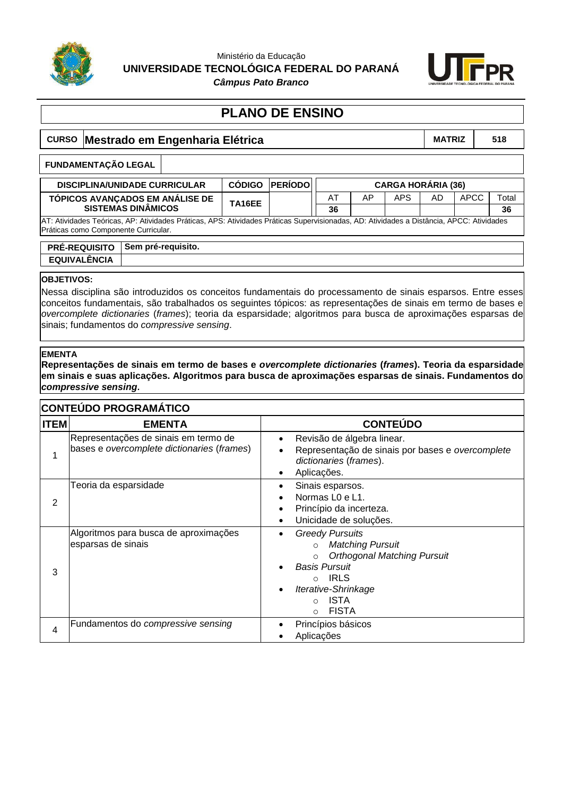

### Ministério da Educação **UNIVERSIDADE TECNOLÓGICA FEDERAL DO PARANÁ**



*Câmpus Pato Branco*

## **PLANO DE ENSINO**

# **CURSO Mestrado em Engenharia Elétrica MATRIZ MATRIZ** | 518 **DISCIPLINA/UNIDADE CURRICULAR CÓDIGO PERÍODO CARGA HORÁRIA (36) TÓPICOS AVANÇADOS EM ANÁLISE DE SISTEMAS DINÂMICOS TA16EE** AT AP APS AD APCC Total **36 36** AT: Atividades Teóricas, AP: Atividades Práticas, APS: Atividades Práticas Supervisionadas, AD: Atividades a Distância, APCC: Atividades Práticas como Componente Curricular. **FUNDAMENTAÇÃO LEGAL**

**PRÉ-REQUISITO Sem pré-requisito. EQUIVALÊNCIA**

### **OBJETIVOS:**

Nessa disciplina são introduzidos os conceitos fundamentais do processamento de sinais esparsos. Entre esses conceitos fundamentais, são trabalhados os seguintes tópicos: as representações de sinais em termo de bases e *overcomplete dictionaries* (*frames*); teoria da esparsidade; algoritmos para busca de aproximações esparsas de sinais; fundamentos do *compressive sensing*.

#### **EMENTA**

**Representações de sinais em termo de bases e** *overcomplete dictionaries* **(***frames***). Teoria da esparsidade em sinais e suas aplicações. Algoritmos para busca de aproximações esparsas de sinais. Fundamentos do**  *compressive sensing***.**

### **CONTEÚDO PROGRAMÁTICO**

| <b>ITEM</b> | <b>EMENTA</b>                                                                      | <b>CONTEÚDO</b>                                                                                                                                                                                                               |
|-------------|------------------------------------------------------------------------------------|-------------------------------------------------------------------------------------------------------------------------------------------------------------------------------------------------------------------------------|
|             | Representações de sinais em termo de<br>bases e overcomplete dictionaries (frames) | Revisão de álgebra linear.<br>$\bullet$<br>Representação de sinais por bases e overcomplete<br>dictionaries (frames).<br>Aplicações.                                                                                          |
| 2           | Teoria da esparsidade                                                              | Sinais esparsos.<br>Normas L <sub>0</sub> e L <sub>1</sub> .<br>Princípio da incerteza.<br>Unicidade de soluções.                                                                                                             |
| 3           | Algoritmos para busca de aproximações<br>esparsas de sinais                        | <b>Greedy Pursuits</b><br><b>Matching Pursuit</b><br>$\circ$<br><b>Orthogonal Matching Pursuit</b><br>$\circ$<br><b>Basis Pursuit</b><br>⊙ IRLS<br>Iterative-Shrinkage<br><b>ISTA</b><br>$\Omega$<br><b>FISTA</b><br>$\Omega$ |
| 4           | Fundamentos do compressive sensing                                                 | Princípios básicos<br>Aplicações                                                                                                                                                                                              |